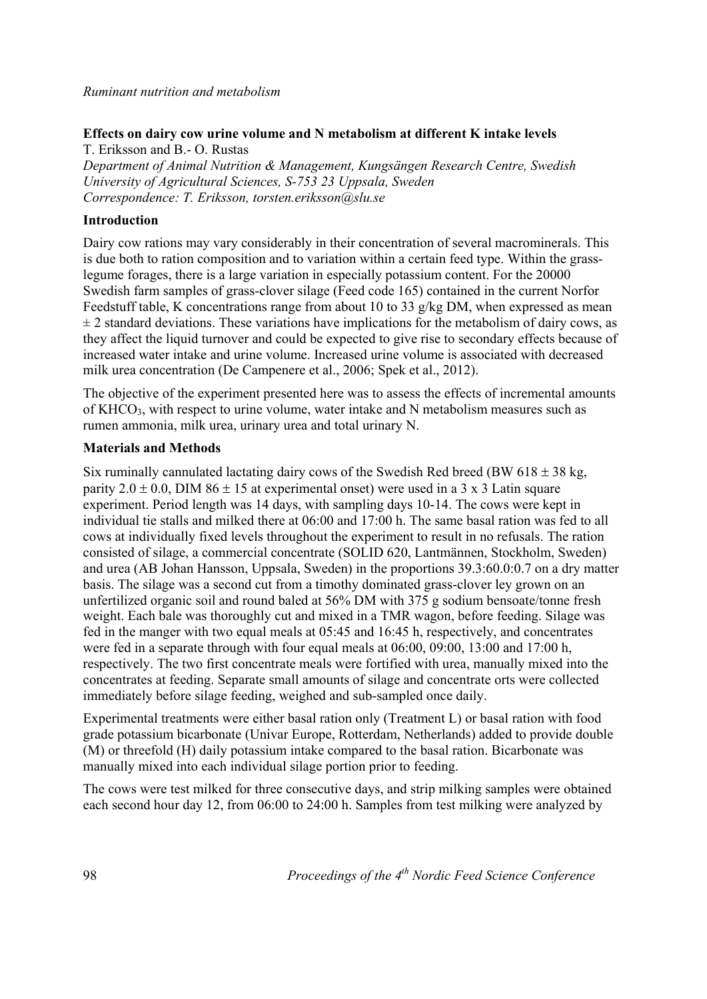*Ruminant nutrition and metabolism*

# **Effects on dairy cow urine volume and N metabolism at different K intake levels**

T. Eriksson and B.- O. Rustas *Department of Animal Nutrition & Management, Kungsängen Research Centre, Swedish University of Agricultural Sciences, S-753 23 Uppsala, Sweden Correspondence: T. Eriksson, torsten.eriksson@slu.se*

# **Introduction**

Dairy cow rations may vary considerably in their concentration of several macrominerals. This is due both to ration composition and to variation within a certain feed type. Within the grasslegume forages, there is a large variation in especially potassium content. For the 20000 Swedish farm samples of grass-clover silage (Feed code 165) contained in the current Norfor Feedstuff table, K concentrations range from about 10 to 33 g/kg DM, when expressed as mean  $\pm$  2 standard deviations. These variations have implications for the metabolism of dairy cows, as they affect the liquid turnover and could be expected to give rise to secondary effects because of increased water intake and urine volume. Increased urine volume is associated with decreased milk urea concentration (De Campenere et al., 2006; Spek et al., 2012).

The objective of the experiment presented here was to assess the effects of incremental amounts of KHCO<sub>3</sub>, with respect to urine volume, water intake and N metabolism measures such as rumen ammonia, milk urea, urinary urea and total urinary N.

## **Materials and Methods**

Six ruminally cannulated lactating dairy cows of the Swedish Red breed (BW 618  $\pm$  38 kg, parity  $2.0 \pm 0.0$ , DIM  $86 \pm 15$  at experimental onset) were used in a 3 x 3 Latin square experiment. Period length was 14 days, with sampling days 10-14. The cows were kept in individual tie stalls and milked there at 06:00 and 17:00 h. The same basal ration was fed to all cows at individually fixed levels throughout the experiment to result in no refusals. The ration consisted of silage, a commercial concentrate (SOLID 620, Lantmännen, Stockholm, Sweden) and urea (AB Johan Hansson, Uppsala, Sweden) in the proportions 39.3:60.0:0.7 on a dry matter basis. The silage was a second cut from a timothy dominated grass-clover ley grown on an unfertilized organic soil and round baled at 56% DM with 375 g sodium bensoate/tonne fresh weight. Each bale was thoroughly cut and mixed in a TMR wagon, before feeding. Silage was fed in the manger with two equal meals at 05:45 and 16:45 h, respectively, and concentrates were fed in a separate through with four equal meals at 06:00, 09:00, 13:00 and 17:00 h, respectively. The two first concentrate meals were fortified with urea, manually mixed into the concentrates at feeding. Separate small amounts of silage and concentrate orts were collected immediately before silage feeding, weighed and sub-sampled once daily.

Experimental treatments were either basal ration only (Treatment L) or basal ration with food grade potassium bicarbonate (Univar Europe, Rotterdam, Netherlands) added to provide double (M) or threefold (H) daily potassium intake compared to the basal ration. Bicarbonate was manually mixed into each individual silage portion prior to feeding.

The cows were test milked for three consecutive days, and strip milking samples were obtained each second hour day 12, from 06:00 to 24:00 h. Samples from test milking were analyzed by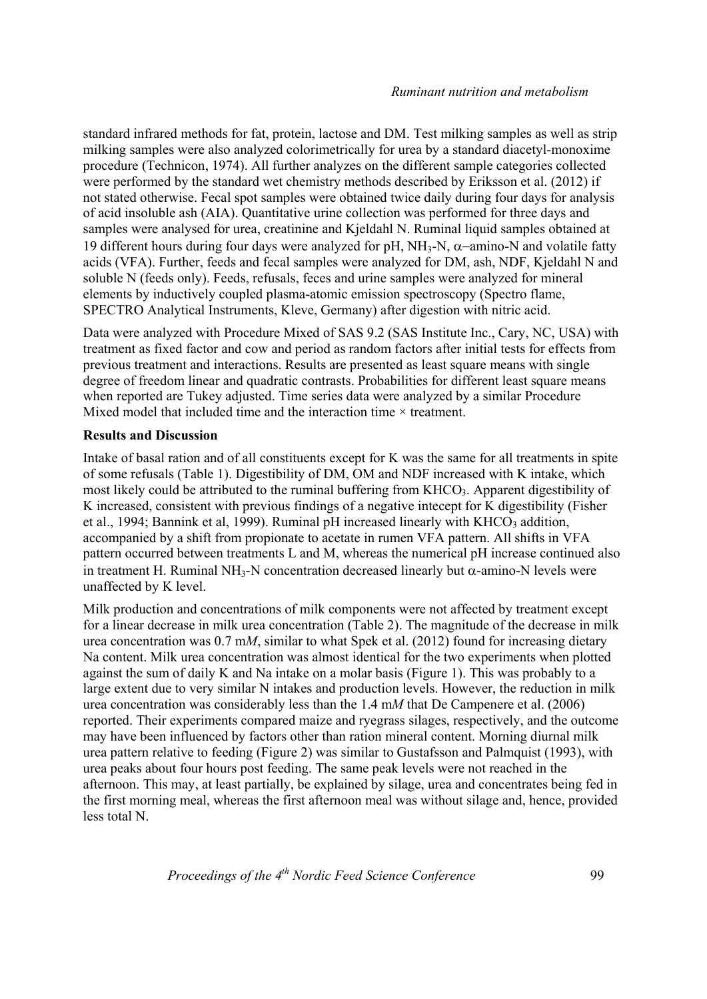standard infrared methods for fat, protein, lactose and DM. Test milking samples as well as strip milking samples were also analyzed colorimetrically for urea by a standard diacetyl-monoxime procedure (Technicon, 1974). All further analyzes on the different sample categories collected were performed by the standard wet chemistry methods described by Eriksson et al. (2012) if not stated otherwise. Fecal spot samples were obtained twice daily during four days for analysis of acid insoluble ash (AIA). Quantitative urine collection was performed for three days and samples were analysed for urea, creatinine and Kjeldahl N. Ruminal liquid samples obtained at 19 different hours during four days were analyzed for pH, NH<sub>3</sub>-N,  $\alpha$ -amino-N and volatile fatty acids (VFA). Further, feeds and fecal samples were analyzed for DM, ash, NDF, Kjeldahl N and soluble N (feeds only). Feeds, refusals, feces and urine samples were analyzed for mineral elements by inductively coupled plasma-atomic emission spectroscopy (Spectro flame, SPECTRO Analytical Instruments, Kleve, Germany) after digestion with nitric acid.

Data were analyzed with Procedure Mixed of SAS 9.2 (SAS Institute Inc., Cary, NC, USA) with treatment as fixed factor and cow and period as random factors after initial tests for effects from previous treatment and interactions. Results are presented as least square means with single degree of freedom linear and quadratic contrasts. Probabilities for different least square means when reported are Tukey adjusted. Time series data were analyzed by a similar Procedure Mixed model that included time and the interaction time  $\times$  treatment.

## **Results and Discussion**

Intake of basal ration and of all constituents except for K was the same for all treatments in spite of some refusals (Table 1). Digestibility of DM, OM and NDF increased with K intake, which most likely could be attributed to the ruminal buffering from KHCO3. Apparent digestibility of K increased, consistent with previous findings of a negative intecept for K digestibility (Fisher et al., 1994; Bannink et al, 1999). Ruminal pH increased linearly with  $KHCO<sub>3</sub>$  addition, accompanied by a shift from propionate to acetate in rumen VFA pattern. All shifts in VFA pattern occurred between treatments L and M, whereas the numerical pH increase continued also in treatment H. Ruminal NH<sub>3</sub>-N concentration decreased linearly but  $\alpha$ -amino-N levels were unaffected by K level.

Milk production and concentrations of milk components were not affected by treatment except for a linear decrease in milk urea concentration (Table 2). The magnitude of the decrease in milk urea concentration was 0.7 m*M*, similar to what Spek et al. (2012) found for increasing dietary Na content. Milk urea concentration was almost identical for the two experiments when plotted against the sum of daily K and Na intake on a molar basis (Figure 1). This was probably to a large extent due to very similar N intakes and production levels. However, the reduction in milk urea concentration was considerably less than the 1.4 m*M* that De Campenere et al. (2006) reported. Their experiments compared maize and ryegrass silages, respectively, and the outcome may have been influenced by factors other than ration mineral content. Morning diurnal milk urea pattern relative to feeding (Figure 2) was similar to Gustafsson and Palmquist (1993), with urea peaks about four hours post feeding. The same peak levels were not reached in the afternoon. This may, at least partially, be explained by silage, urea and concentrates being fed in the first morning meal, whereas the first afternoon meal was without silage and, hence, provided less total N.

*Proceedings of the 4<sup>th</sup> Nordic Feed Science Conference* 99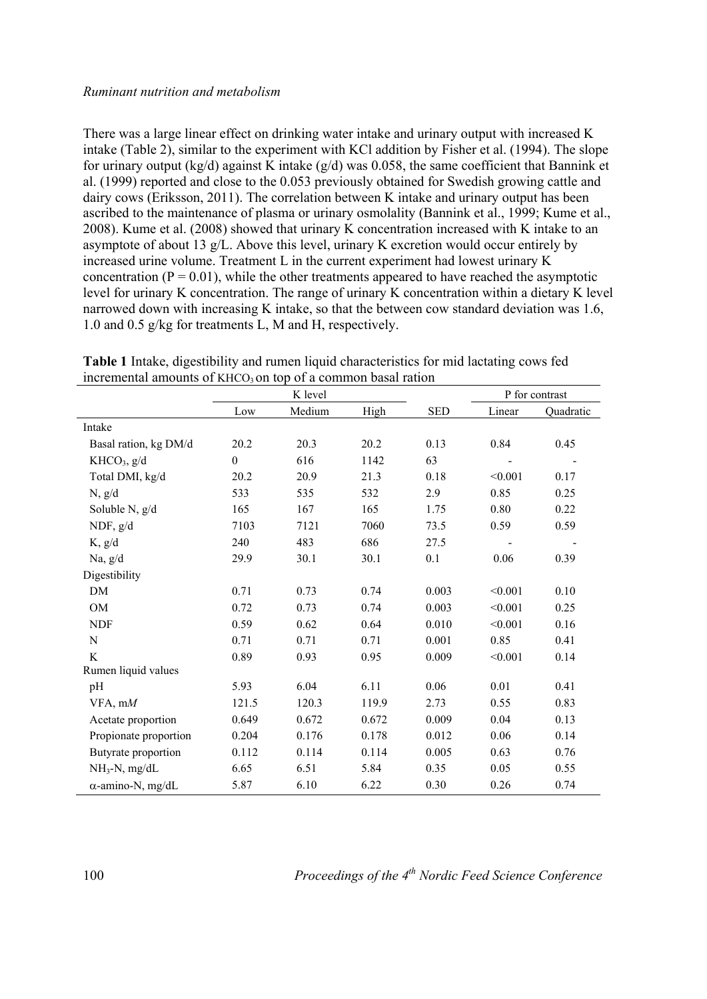### *Ruminant nutrition and metabolism*

There was a large linear effect on drinking water intake and urinary output with increased K intake (Table 2), similar to the experiment with KCl addition by Fisher et al. (1994). The slope for urinary output (kg/d) against K intake (g/d) was 0.058, the same coefficient that Bannink et al. (1999) reported and close to the 0.053 previously obtained for Swedish growing cattle and dairy cows (Eriksson, 2011). The correlation between K intake and urinary output has been ascribed to the maintenance of plasma or urinary osmolality (Bannink et al., 1999; Kume et al., 2008). Kume et al. (2008) showed that urinary K concentration increased with K intake to an asymptote of about 13 g/L. Above this level, urinary K excretion would occur entirely by increased urine volume. Treatment L in the current experiment had lowest urinary K concentration  $(P = 0.01)$ , while the other treatments appeared to have reached the asymptotic level for urinary K concentration. The range of urinary K concentration within a dietary K level narrowed down with increasing K intake, so that the between cow standard deviation was 1.6, 1.0 and 0.5 g/kg for treatments L, M and H, respectively.

|                          | K level          |        |       |            | P for contrast |           |
|--------------------------|------------------|--------|-------|------------|----------------|-----------|
|                          | Low              | Medium | High  | <b>SED</b> | Linear         | Quadratic |
| Intake                   |                  |        |       |            |                |           |
| Basal ration, kg DM/d    | 20.2             | 20.3   | 20.2  | 0.13       | 0.84           | 0.45      |
| KHCO <sub>3</sub> , g/d  | $\boldsymbol{0}$ | 616    | 1142  | 63         |                |           |
| Total DMI, kg/d          | 20.2             | 20.9   | 21.3  | 0.18       | < 0.001        | 0.17      |
| N, g/d                   | 533              | 535    | 532   | 2.9        | 0.85           | 0.25      |
| Soluble N, g/d           | 165              | 167    | 165   | 1.75       | 0.80           | 0.22      |
| NDF, $g/d$               | 7103             | 7121   | 7060  | 73.5       | 0.59           | 0.59      |
| K, g/d                   | 240              | 483    | 686   | 27.5       |                |           |
| Na, $g/d$                | 29.9             | 30.1   | 30.1  | 0.1        | 0.06           | 0.39      |
| Digestibility            |                  |        |       |            |                |           |
| DM                       | 0.71             | 0.73   | 0.74  | 0.003      | < 0.001        | 0.10      |
| OM                       | 0.72             | 0.73   | 0.74  | 0.003      | < 0.001        | 0.25      |
| <b>NDF</b>               | 0.59             | 0.62   | 0.64  | 0.010      | < 0.001        | 0.16      |
| N                        | 0.71             | 0.71   | 0.71  | 0.001      | 0.85           | 0.41      |
| K                        | 0.89             | 0.93   | 0.95  | 0.009      | < 0.001        | 0.14      |
| Rumen liquid values      |                  |        |       |            |                |           |
| pH                       | 5.93             | 6.04   | 6.11  | 0.06       | 0.01           | 0.41      |
| VFA, mM                  | 121.5            | 120.3  | 119.9 | 2.73       | 0.55           | 0.83      |
| Acetate proportion       | 0.649            | 0.672  | 0.672 | 0.009      | 0.04           | 0.13      |
| Propionate proportion    | 0.204            | 0.176  | 0.178 | 0.012      | 0.06           | 0.14      |
| Butyrate proportion      | 0.112            | 0.114  | 0.114 | 0.005      | 0.63           | 0.76      |
| $NH_3-N$ , mg/dL         | 6.65             | 6.51   | 5.84  | 0.35       | 0.05           | 0.55      |
| $\alpha$ -amino-N, mg/dL | 5.87             | 6.10   | 6.22  | 0.30       | 0.26           | 0.74      |

**Table 1** Intake, digestibility and rumen liquid characteristics for mid lactating cows fed incremental amounts of  $KHCO<sub>3</sub>$  on top of a common basal ration

100 *Proceedings of the 4th Nordic Feed Science Conference*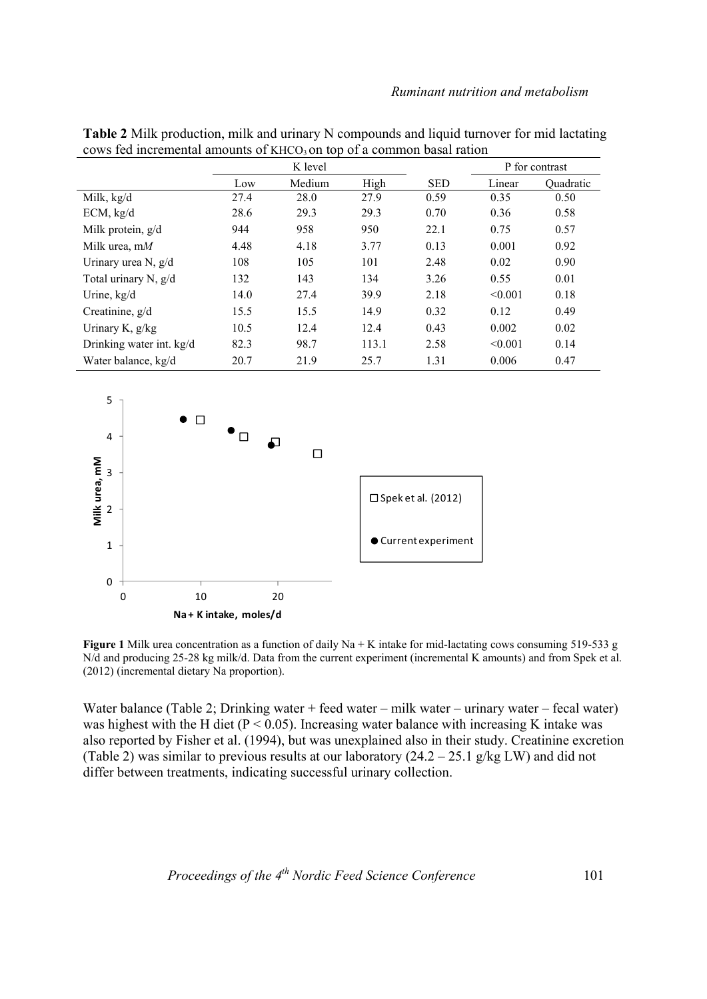| Table 2 Milk production, milk and urinary N compounds and liquid turnover for mid lactating |
|---------------------------------------------------------------------------------------------|
| cows fed incremental amounts of $KHCO3$ on top of a common basal ration                     |

|                          | K level |        |       |            | P for contrast |                  |
|--------------------------|---------|--------|-------|------------|----------------|------------------|
|                          | Low     | Medium | High  | <b>SED</b> | Linear         | <b>Ouadratic</b> |
| Milk, kg/d               | 27.4    | 28.0   | 27.9  | 0.59       | 0.35           | 0.50             |
| ECM, kg/d                | 28.6    | 29.3   | 29.3  | 0.70       | 0.36           | 0.58             |
| Milk protein, $g/d$      | 944     | 958    | 950   | 22.1       | 0.75           | 0.57             |
| Milk urea, $mM$          | 4.48    | 4.18   | 3.77  | 0.13       | 0.001          | 0.92             |
| Urinary urea N, g/d      | 108     | 105    | 101   | 2.48       | 0.02           | 0.90             |
| Total urinary N, $g/d$   | 132     | 143    | 134   | 3.26       | 0.55           | 0.01             |
| Urine, kg/d              | 14.0    | 27.4   | 39.9  | 2.18       | < 0.001        | 0.18             |
| Creatinine, $g/d$        | 15.5    | 15.5   | 14.9  | 0.32       | 0.12           | 0.49             |
| Urinary K, $g/kg$        | 10.5    | 12.4   | 12.4  | 0.43       | 0.002          | 0.02             |
| Drinking water int. kg/d | 82.3    | 98.7   | 113.1 | 2.58       | < 0.001        | 0.14             |
| Water balance, kg/d      | 20.7    | 21.9   | 25.7  | 1.31       | 0.006          | 0.47             |



**Figure 1** Milk urea concentration as a function of daily Na + K intake for mid-lactating cows consuming 519-533 g N/d and producing 25-28 kg milk/d. Data from the current experiment (incremental K amounts) and from Spek et al. (2012) (incremental dietary Na proportion).

Water balance (Table 2; Drinking water + feed water – milk water – urinary water – fecal water) was highest with the H diet ( $P < 0.05$ ). Increasing water balance with increasing K intake was also reported by Fisher et al. (1994), but was unexplained also in their study. Creatinine excretion (Table 2) was similar to previous results at our laboratory  $(24.2 - 25.1 \text{ g/kg LW})$  and did not differ between treatments, indicating successful urinary collection.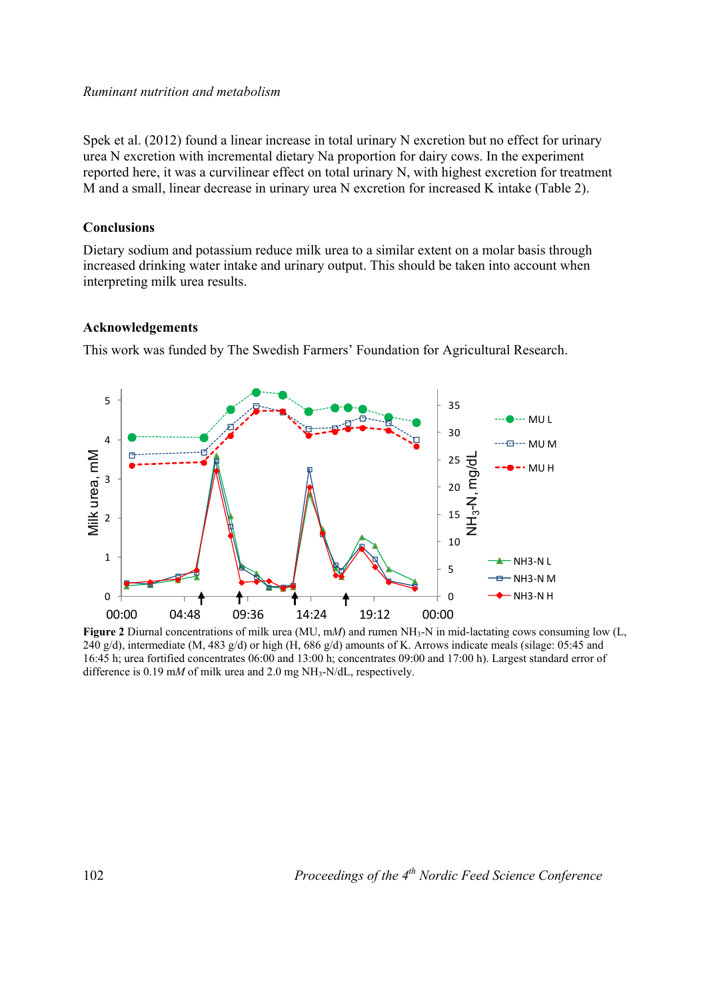#### *Ruminant nutrition and metabolism*

Spek et al. (2012) found a linear increase in total urinary N excretion but no effect for urinary urea N excretion with incremental dietary Na proportion for dairy cows. In the experiment reported here, it was a curvilinear effect on total urinary N, with highest excretion for treatment M and a small, linear decrease in urinary urea N excretion for increased K intake (Table 2).

### **Conclusions**

Dietary sodium and potassium reduce milk urea to a similar extent on a molar basis through increased drinking water intake and urinary output. This should be taken into account when interpreting milk urea results.

### **Acknowledgements**

This work was funded by The Swedish Farmers' Foundation for Agricultural Research.



Figure 2 Diurnal concentrations of milk urea (MU, mM) and rumen NH<sub>3</sub>-N in mid-lactating cows consuming low (L, 240 g/d), intermediate (M, 483 g/d) or high (H,  $686$  g/d) amounts of K. Arrows indicate meals (silage: 05:45 and 16:45 h; urea fortified concentrates 06:00 and 13:00 h; concentrates 09:00 and 17:00 h). Largest standard error of difference is 0.19 m*M* of milk urea and 2.0 mg  $NH_3-N/dL$ , respectively.